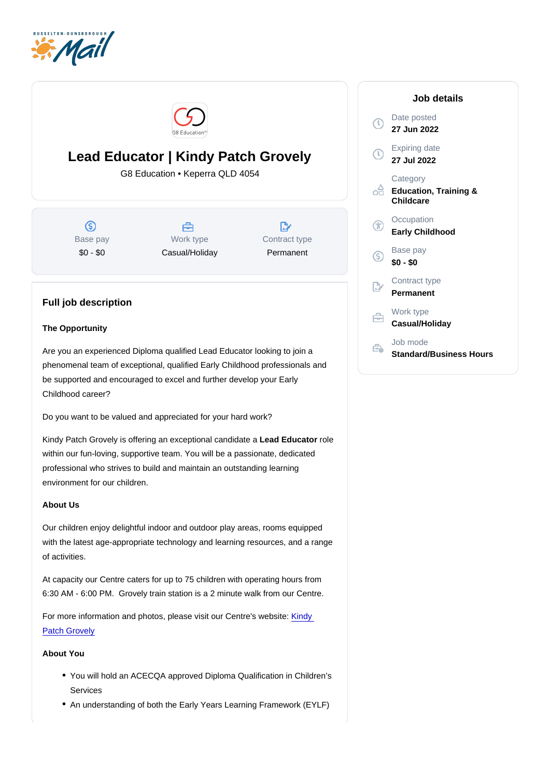# Lead Educator | Kindy Patch Grovely

G8 Education • Keperra QLD 4054

Base pay \$0 - \$0

Work type Casual/Holiday Contract type Permanent

## Full job description

### The Opportunity

Are you an experienced Diploma qualified Lead Educator looking to join a phenomenal team of exceptional, qualified Early Childhood professionals and be supported and encouraged to excel and further develop your Early Childhood career?

Do you want to be valued and appreciated for your hard work?

Kindy Patch Grovely is offering an exceptional candidate a Lead Educator role within our fun-loving, supportive team. You will be a passionate, dedicated professional who strives to build and maintain an outstanding learning environment for our children.

#### About Us

Our children enjoy delightful indoor and outdoor play areas, rooms equipped with the latest age-appropriate technology and learning resources, and a range of activities.

At capacity our Centre caters for up to 75 children with operating hours from 6:30 AM - 6:00 PM. Grovely train station is a 2 minute walk from our Centre.

For more information and photos, please visit our Centre's website: [Kindy](http://www.kindypatch.com.au/)  [Patch Grovely](http://www.kindypatch.com.au/)

#### About You

- You will hold an ACECQA approved Diploma Qualification in Children's Services
- An understanding of both the Early Years Learning Framework (EYLF)

#### Job details

Date posted 27 Jun 2022

Expiring date 27 Jul 2022

**Category** Education, Training & **Childcare** 

**Occupation** Early Childhood

Base pay \$0 - \$0

Contract type Permanent

Work type Casual/Holiday

Job mode Standard/Business Hours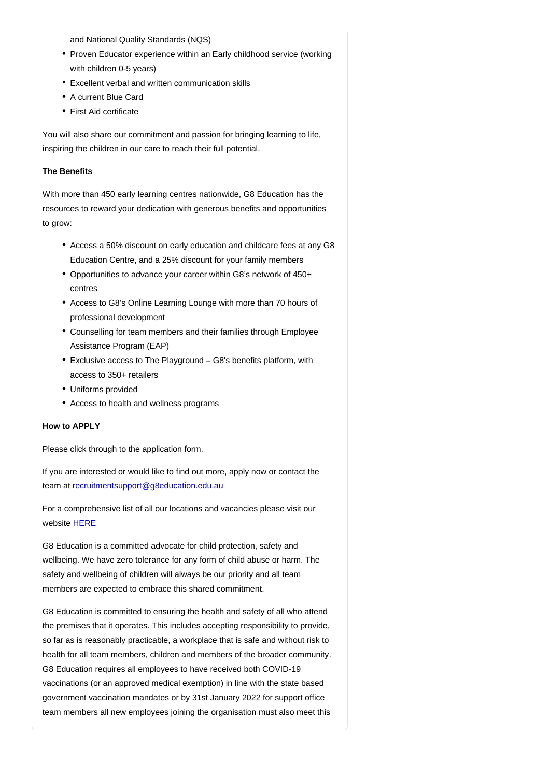and National Quality Standards (NQS)

- Proven Educator experience within an Early childhood service (working with children 0-5 years)
- Excellent verbal and written communication skills
- A current Blue Card
- First Aid certificate

You will also share our commitment and passion for bringing learning to life, inspiring the children in our care to reach their full potential.

#### The Benefits

With more than 450 early learning centres nationwide, G8 Education has the resources to reward your dedication with generous benefits and opportunities to grow:

- Access a 50% discount on early education and childcare fees at any G8 Education Centre, and a 25% discount for your family members
- Opportunities to advance your career within G8's network of 450+ centres
- Access to G8's Online Learning Lounge with more than 70 hours of professional development
- Counselling for team members and their families through Employee Assistance Program (EAP)
- Exclusive access to The Playground G8's benefits platform, with access to 350+ retailers
- Uniforms provided
- Access to health and wellness programs

How to APPLY

Please click through to the application form.

If you are interested or would like to find out more, apply now or contact the team at [recruitmentsupport@g8education.edu.au](mailto:recruitmentsupport@g8education.edu.au)

For a comprehensive list of all our locations and vacancies please visit our website [HERE](https://jobs.g8education.edu.au/en/listing/)

G8 Education is a committed advocate for child protection, safety and wellbeing. We have zero tolerance for any form of child abuse or harm. The safety and wellbeing of children will always be our priority and all team members are expected to embrace this shared commitment.

G8 Education is committed to ensuring the health and safety of all who attend the premises that it operates. This includes accepting responsibility to provide, so far as is reasonably practicable, a workplace that is safe and without risk to health for all team members, children and members of the broader community. G8 Education requires all employees to have received both COVID-19 vaccinations (or an approved medical exemption) in line with the state based government vaccination mandates or by 31st January 2022 for support office team members all new employees joining the organisation must also meet this